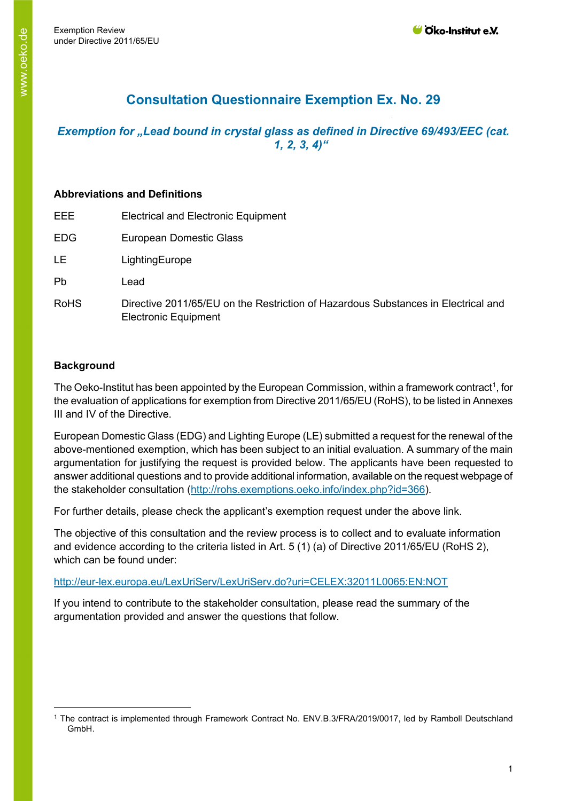# **Consultation Questionnaire Exemption Ex. No. 29**

# *Exemption for "Lead bound in crystal glass as defined in Directive 69/493/EEC (cat. 1, 2, 3, 4)"*

## **Abbreviations and Definitions**

| EEE.        | <b>Electrical and Electronic Equipment</b>                                                                       |
|-------------|------------------------------------------------------------------------------------------------------------------|
| <b>EDG</b>  | European Domestic Glass                                                                                          |
| LE          | LightingEurope                                                                                                   |
| Pb          | Lead                                                                                                             |
| <b>RoHS</b> | Directive 2011/65/EU on the Restriction of Hazardous Substances in Electrical and<br><b>Electronic Equipment</b> |

# **Background**

The Oeko-Institut has been appointed by the European Commission, within a framework contract<sup>[1](#page-0-0)</sup>, for the evaluation of applications for exemption from Directive 2011/65/EU (RoHS), to be listed in Annexes III and IV of the Directive.

European Domestic Glass (EDG) and Lighting Europe (LE) submitted a request for the renewal of the above-mentioned exemption, which has been subject to an initial evaluation. A summary of the main argumentation for justifying the request is provided below. The applicants have been requested to answer additional questions and to provide additional information, available on the request webpage of the stakeholder consultation [\(http://rohs.exemptions.oeko.info/index.php?id=366\)](http://rohs.exemptions.oeko.info/index.php?id=366).

For further details, please check the applicant's exemption request under the above link.

The objective of this consultation and the review process is to collect and to evaluate information and evidence according to the criteria listed in Art. 5 (1) (a) of Directive 2011/65/EU (RoHS 2), which can be found under:

# <http://eur-lex.europa.eu/LexUriServ/LexUriServ.do?uri=CELEX:32011L0065:EN:NOT>

If you intend to contribute to the stakeholder consultation, please read the summary of the argumentation provided and answer the questions that follow.

<span id="page-0-0"></span><sup>1</sup> The contract is implemented through Framework Contract No. ENV.B.3/FRA/2019/0017, led by Ramboll Deutschland GmbH.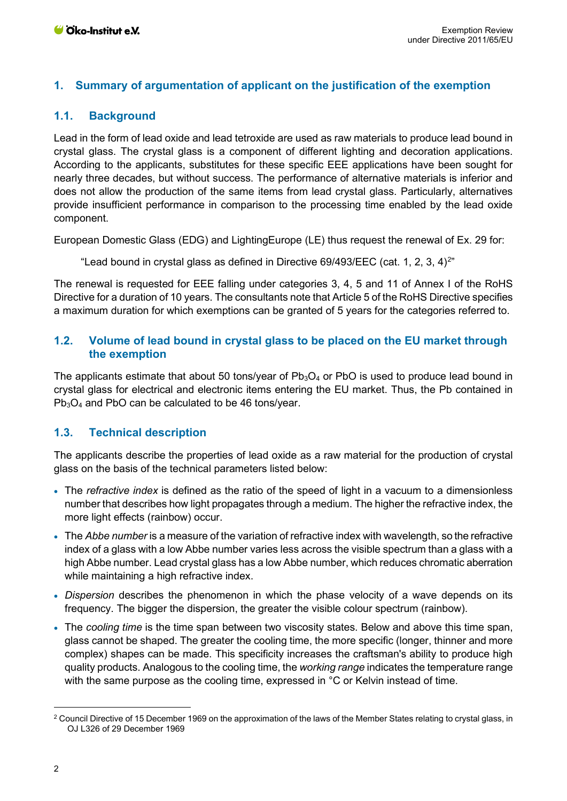## **1. Summary of argumentation of applicant on the justification of the exemption**

## **1.1. Background**

Lead in the form of lead oxide and lead tetroxide are used as raw materials to produce lead bound in crystal glass. The crystal glass is a component of different lighting and decoration applications. According to the applicants, substitutes for these specific EEE applications have been sought for nearly three decades, but without success. The performance of alternative materials is inferior and does not allow the production of the same items from lead crystal glass. Particularly, alternatives provide insufficient performance in comparison to the processing time enabled by the lead oxide component.

European Domestic Glass (EDG) and LightingEurope (LE) thus request the renewal of Ex. 29 for:

"Lead bound in crystal glass as defined in Directive 69/493/EEC (cat. 1, [2](#page-1-0), 3, 4)<sup>2</sup>"

The renewal is requested for EEE falling under categories 3, 4, 5 and 11 of Annex I of the RoHS Directive for a duration of 10 years. The consultants note that Article 5 of the RoHS Directive specifies a maximum duration for which exemptions can be granted of 5 years for the categories referred to.

## **1.2. Volume of lead bound in crystal glass to be placed on the EU market through the exemption**

The applicants estimate that about 50 tons/year of  $Pb_3O_4$  or PbO is used to produce lead bound in crystal glass for electrical and electronic items entering the EU market. Thus, the Pb contained in  $Pb_3O_4$  and PbO can be calculated to be 46 tons/year.

## **1.3. Technical description**

The applicants describe the properties of lead oxide as a raw material for the production of crystal glass on the basis of the technical parameters listed below:

- The *refractive index* is defined as the ratio of the speed of light in a vacuum to a dimensionless number that describes how light propagates through a medium. The higher the refractive index, the more light effects (rainbow) occur.
- The *Abbe number* is a measure of the variation of refractive index with wavelength, so the refractive index of a glass with a low Abbe number varies less across the visible spectrum than a glass with a high Abbe number. Lead crystal glass has a low Abbe number, which reduces chromatic aberration while maintaining a high refractive index.
- *Dispersion* describes the phenomenon in which the phase velocity of a wave depends on its frequency. The bigger the dispersion, the greater the visible colour spectrum (rainbow).
- The *cooling time* is the time span between two viscosity states. Below and above this time span, glass cannot be shaped. The greater the cooling time, the more specific (longer, thinner and more complex) shapes can be made. This specificity increases the craftsman's ability to produce high quality products. Analogous to the cooling time, the *working range* indicates the temperature range with the same purpose as the cooling time, expressed in °C or Kelvin instead of time.

<span id="page-1-0"></span><sup>&</sup>lt;sup>2</sup> Council Directive of 15 December 1969 on the approximation of the laws of the Member States relating to crystal glass, in OJ L326 of 29 December 1969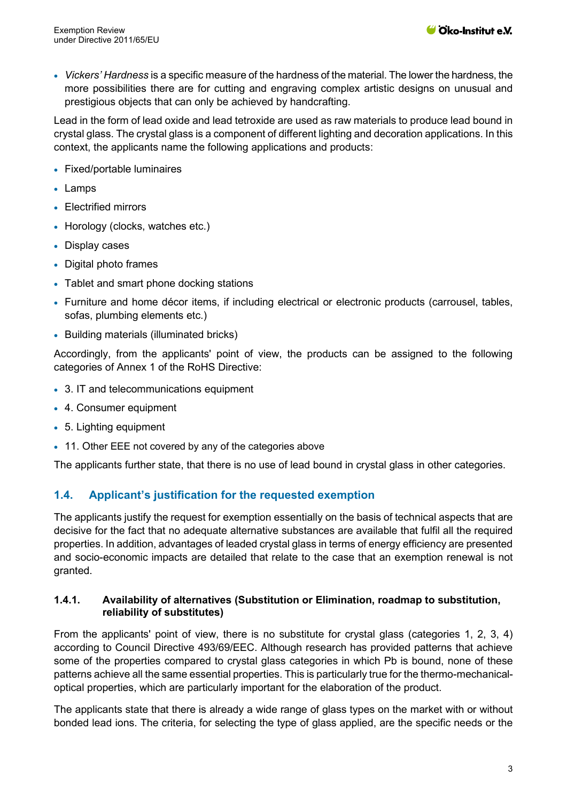• *Vickers' Hardness* is a specific measure of the hardness of the material. The lower the hardness, the more possibilities there are for cutting and engraving complex artistic designs on unusual and prestigious objects that can only be achieved by handcrafting.

Lead in the form of lead oxide and lead tetroxide are used as raw materials to produce lead bound in crystal glass. The crystal glass is a component of different lighting and decoration applications. In this context, the applicants name the following applications and products:

- Fixed/portable luminaires
- Lamps
- Electrified mirrors
- Horology (clocks, watches etc.)
- Display cases
- Digital photo frames
- Tablet and smart phone docking stations
- Furniture and home décor items, if including electrical or electronic products (carrousel, tables, sofas, plumbing elements etc.)
- Building materials (illuminated bricks)

Accordingly, from the applicants' point of view, the products can be assigned to the following categories of Annex 1 of the RoHS Directive:

- 3. IT and telecommunications equipment
- 4. Consumer equipment
- 5. Lighting equipment
- 11. Other EEE not covered by any of the categories above

The applicants further state, that there is no use of lead bound in crystal glass in other categories.

## **1.4. Applicant's justification for the requested exemption**

The applicants justify the request for exemption essentially on the basis of technical aspects that are decisive for the fact that no adequate alternative substances are available that fulfil all the required properties. In addition, advantages of leaded crystal glass in terms of energy efficiency are presented and socio-economic impacts are detailed that relate to the case that an exemption renewal is not granted.

#### **1.4.1. Availability of alternatives (Substitution or Elimination, roadmap to substitution, reliability of substitutes)**

From the applicants' point of view, there is no substitute for crystal glass (categories 1, 2, 3, 4) according to Council Directive 493/69/EEC. Although research has provided patterns that achieve some of the properties compared to crystal glass categories in which Pb is bound, none of these patterns achieve all the same essential properties. This is particularly true for the thermo-mechanicaloptical properties, which are particularly important for the elaboration of the product.

The applicants state that there is already a wide range of glass types on the market with or without bonded lead ions. The criteria, for selecting the type of glass applied, are the specific needs or the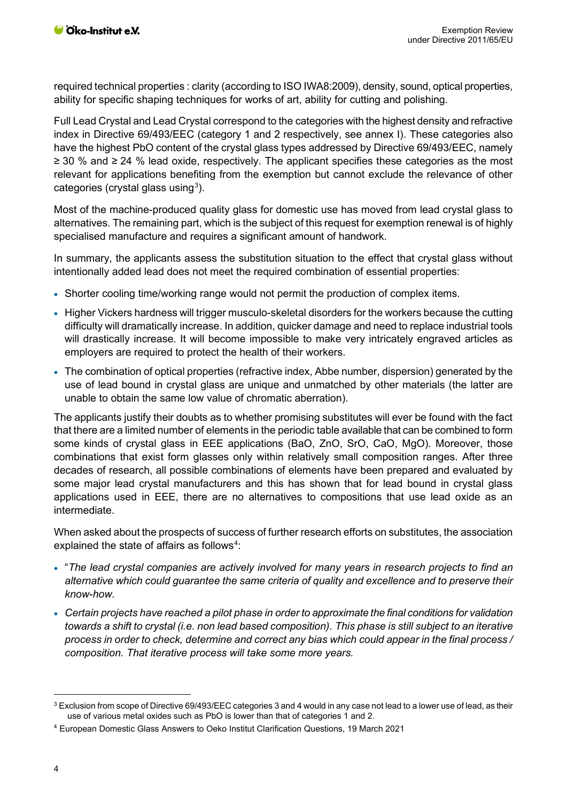required technical properties : clarity (according to ISO IWA8:2009), density, sound, optical properties, ability for specific shaping techniques for works of art, ability for cutting and polishing.

Full Lead Crystal and Lead Crystal correspond to the categories with the highest density and refractive index in Directive 69/493/EEC (category 1 and 2 respectively, see annex I). These categories also have the highest PbO content of the crystal glass types addressed by Directive 69/493/EEC, namely ≥ 30 % and ≥ 24 % lead oxide, respectively. The applicant specifies these categories as the most relevant for applications benefiting from the exemption but cannot exclude the relevance of other categories (crystal glass using $3$ ).

Most of the machine-produced quality glass for domestic use has moved from lead crystal glass to alternatives. The remaining part, which is the subject of this request for exemption renewal is of highly specialised manufacture and requires a significant amount of handwork.

In summary, the applicants assess the substitution situation to the effect that crystal glass without intentionally added lead does not meet the required combination of essential properties:

- Shorter cooling time/working range would not permit the production of complex items.
- Higher Vickers hardness will trigger musculo-skeletal disorders for the workers because the cutting difficulty will dramatically increase. In addition, quicker damage and need to replace industrial tools will drastically increase. It will become impossible to make very intricately engraved articles as employers are required to protect the health of their workers.
- The combination of optical properties (refractive index, Abbe number, dispersion) generated by the use of lead bound in crystal glass are unique and unmatched by other materials (the latter are unable to obtain the same low value of chromatic aberration).

The applicants justify their doubts as to whether promising substitutes will ever be found with the fact that there are a limited number of elements in the periodic table available that can be combined to form some kinds of crystal glass in EEE applications (BaO, ZnO, SrO, CaO, MgO). Moreover, those combinations that exist form glasses only within relatively small composition ranges. After three decades of research, all possible combinations of elements have been prepared and evaluated by some major lead crystal manufacturers and this has shown that for lead bound in crystal glass applications used in EEE, there are no alternatives to compositions that use lead oxide as an intermediate.

When asked about the prospects of success of further research efforts on substitutes, the association explained the state of affairs as follows $4$ :

- "*The lead crystal companies are actively involved for many years in research projects to find an alternative which could guarantee the same criteria of quality and excellence and to preserve their know-how.*
- *Certain projects have reached a pilot phase in order to approximate the final conditions for validation towards a shift to crystal (i.e. non lead based composition). This phase is still subject to an iterative process in order to check, determine and correct any bias which could appear in the final process / composition. That iterative process will take some more years.*

<span id="page-3-0"></span><sup>&</sup>lt;sup>3</sup> Exclusion from scope of Directive 69/493/EEC categories 3 and 4 would in any case not lead to a lower use of lead, as their use of various metal oxides such as PbO is lower than that of categories 1 and 2.

<span id="page-3-1"></span><sup>4</sup> European Domestic Glass Answers to Oeko Institut Clarification Questions, 19 March 2021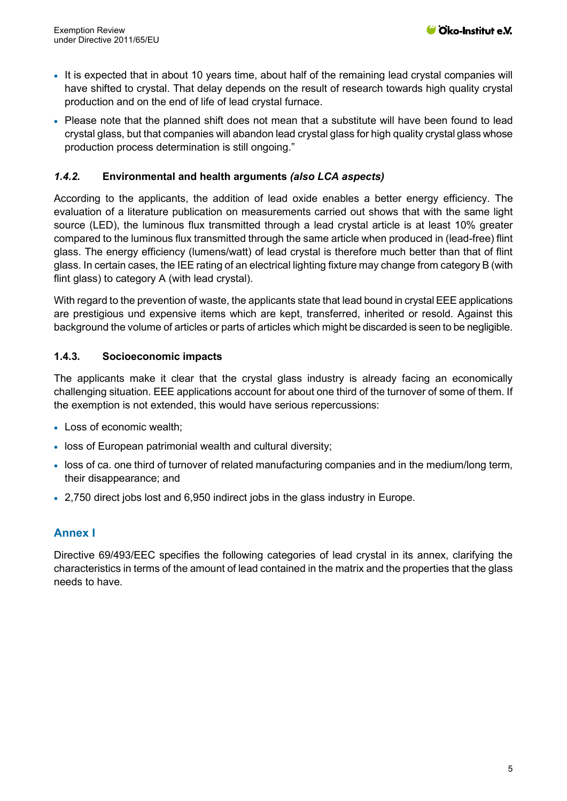- It is expected that in about 10 years time, about half of the remaining lead crystal companies will have shifted to crystal. That delay depends on the result of research towards high quality crystal production and on the end of life of lead crystal furnace.
- Please note that the planned shift does not mean that a substitute will have been found to lead crystal glass, but that companies will abandon lead crystal glass for high quality crystal glass whose production process determination is still ongoing."

### *1.4.2.* **Environmental and health arguments** *(also LCA aspects)*

According to the applicants, the addition of lead oxide enables a better energy efficiency. The evaluation of a literature publication on measurements carried out shows that with the same light source (LED), the luminous flux transmitted through a lead crystal article is at least 10% greater compared to the luminous flux transmitted through the same article when produced in (lead-free) flint glass. The energy efficiency (lumens/watt) of lead crystal is therefore much better than that of flint glass. In certain cases, the IEE rating of an electrical lighting fixture may change from category B (with flint glass) to category A (with lead crystal).

With regard to the prevention of waste, the applicants state that lead bound in crystal EEE applications are prestigious und expensive items which are kept, transferred, inherited or resold. Against this background the volume of articles or parts of articles which might be discarded is seen to be negligible.

#### **1.4.3. Socioeconomic impacts**

The applicants make it clear that the crystal glass industry is already facing an economically challenging situation. EEE applications account for about one third of the turnover of some of them. If the exemption is not extended, this would have serious repercussions:

- Loss of economic wealth;
- loss of European patrimonial wealth and cultural diversity;
- loss of ca. one third of turnover of related manufacturing companies and in the medium/long term, their disappearance; and
- 2,750 direct jobs lost and 6,950 indirect jobs in the glass industry in Europe.

### **Annex I**

Directive 69/493/EEC specifies the following categories of lead crystal in its annex, clarifying the characteristics in terms of the amount of lead contained in the matrix and the properties that the glass needs to have.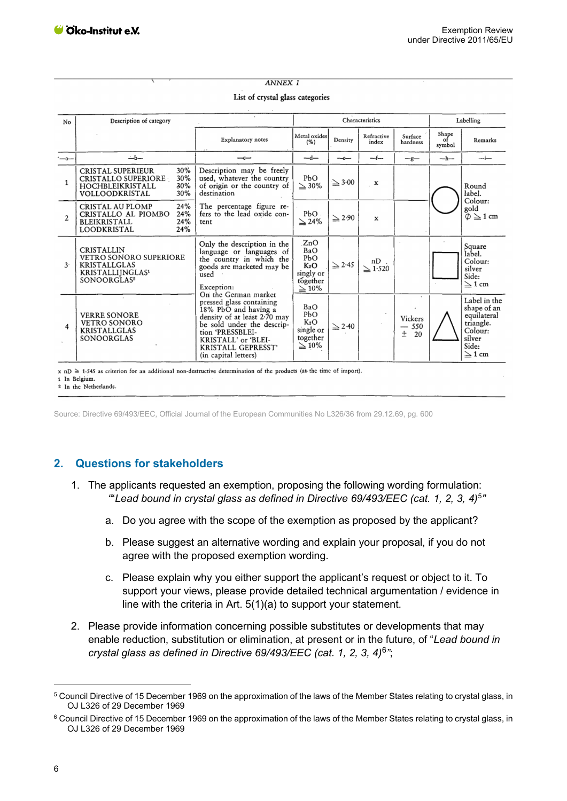#### **ANNEX I**

List of crystal glass categories

| No             | Description of category                                                                                                        |                                                                                                                                                                                                                                 |                                                              | Characteristics |                        |                               |                       | Labelling                                                                                            |  |
|----------------|--------------------------------------------------------------------------------------------------------------------------------|---------------------------------------------------------------------------------------------------------------------------------------------------------------------------------------------------------------------------------|--------------------------------------------------------------|-----------------|------------------------|-------------------------------|-----------------------|------------------------------------------------------------------------------------------------------|--|
|                |                                                                                                                                | <b>Explanatory</b> notes                                                                                                                                                                                                        | Metal oxides<br>(% )                                         | Density         | Refractive<br>index    | Surface<br>hardness           | Shape<br>of<br>symbol | Remarks                                                                                              |  |
| $-2-$          | $-b-$                                                                                                                          | —c—                                                                                                                                                                                                                             | $-d-$                                                        | --e---          | $-1$                   | $-g-$                         | $-h-$                 | $\overline{\phantom{a}}$ $\overline{\phantom{a}}$                                                    |  |
| $\mathbf{1}$   | 30%<br><b>CRISTAL SUPERIEUR</b><br>30%<br>CRISTALLO SUPERIORE<br>30%<br>HOCHBLEIKRISTALL<br>VOLLOODKRISTAL<br>30%              | Description may be freely<br>used, whatever the country<br>of origin or the country of<br>destination                                                                                                                           | PbO<br>$\geq 30\%$                                           | $\geq 3.00$     | x                      |                               |                       | Round<br>label.<br>Colour:<br>gold<br>$\phi \geq 1$ cm                                               |  |
| $\overline{2}$ | <b>CRISTAL AU PLOMP</b><br>24%<br>24%<br>CRISTALLO AL PIOMBO<br>24%<br><b>BLEIKRISTALL</b><br>24%<br><b>LOODKRISTAL</b>        | The percentage figure re-<br>fers to the lead oxide con-<br>tent                                                                                                                                                                | PbO.<br>$\geq$ 24%                                           | $\geq$ 2.90     | x                      |                               |                       |                                                                                                      |  |
| $3 -$          | <b>CRISTALLIN</b><br><b>VETRO SONORO SUPERIORE</b><br>KRISTALLGLAS<br>KRISTALLI INGLAS <sup>1</sup><br>SONOORGLAS <sup>2</sup> | Only the description in the<br>language or languages of<br>the country in which the<br>goods are marketed may be<br>used<br>Exception:                                                                                          |                                                              | $\geq$ 2.45     | $nD$ .<br>$\geq$ 1.520 |                               |                       | Square<br>label.<br>Colour:<br>silver<br>Side:<br>$\geq$ 1 cm                                        |  |
| 4              | <b>VERRE SONORE</b><br><b>VETRO SONORO</b><br><b>KRISTALLGLAS</b><br>SONOORGLAS                                                | On the German market<br>pressed glass containing<br>18% PbO and having a<br>density of at least 2.70 may<br>be sold under the descrip-<br>tion 'PRESSBLEI-<br>KRISTALL' or 'BLEI-<br>KRISTALL GEPRESST'<br>(in capital letters) | BaO<br>PЬO<br>$K_2O$<br>single or<br>together<br>$\geq 10\%$ | $\geq$ 2.40     |                        | Vickers<br>550<br>$\pm$<br>20 |                       | Label in the<br>shape of an<br>equilateral<br>triangle.<br>Colour:<br>silver<br>Side:<br>$\geq$ 1 cm |  |

 $x$  nD  $\geq$  1.545 as criterion for an additional non-destructive determination of the products (at the time of import).

1 In Belgium

<sup>2</sup> In the Netherlands.

Source: Directive 69/493/EEC, Official Journal of the European Communities No L326/36 from 29.12.69, pg. 600

### **2. Questions for stakeholders**

- 1. The applicants requested an exemption, proposing the following wording formulation: *"*"*Lead bound in crystal glass as defined in Directive 69/493/EEC (cat. 1, 2, 3, 4)*[5](#page-5-0) *"* 
	- a. Do you agree with the scope of the exemption as proposed by the applicant?
	- b. Please suggest an alternative wording and explain your proposal, if you do not agree with the proposed exemption wording.
	- c. Please explain why you either support the applicant's request or object to it. To support your views, please provide detailed technical argumentation / evidence in line with the criteria in Art. 5(1)(a) to support your statement.
- 2. Please provide information concerning possible substitutes or developments that may enable reduction, substitution or elimination, at present or in the future, of "*Lead bound in crystal glass as defined in Directive 69/493/EEC (cat. 1, 2, 3, 4)*[6](#page-5-1)*"*;

<span id="page-5-0"></span><sup>&</sup>lt;sup>5</sup> Council Directive of 15 December 1969 on the approximation of the laws of the Member States relating to crystal glass, in OJ L326 of 29 December 1969

<span id="page-5-1"></span><sup>&</sup>lt;sup>6</sup> Council Directive of 15 December 1969 on the approximation of the laws of the Member States relating to crystal glass, in OJ L326 of 29 December 1969